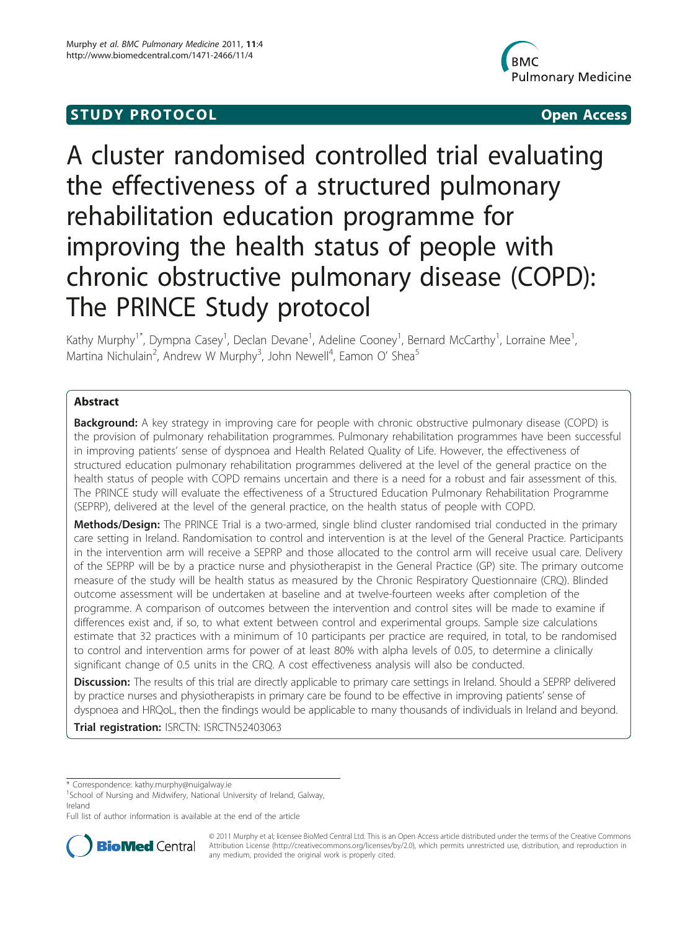## **STUDY PROTOCOL** CONTROL CONTROL CONTROL CONTROL CONTROL CONTROL CONTROL CONTROL CONTROL CONTROL CONTROL CONTROL CONTROL CONTROL CONTROL CONTROL CONTROL CONTROL CONTROL CONTROL CONTROL CONTROL CONTROL CONTROL CONTROL CONTR



# A cluster randomised controlled trial evaluating the effectiveness of a structured pulmonary rehabilitation education programme for improving the health status of people with chronic obstructive pulmonary disease (COPD): The PRINCE Study protocol

Kathy Murphy<sup>1\*</sup>, Dympna Casey<sup>1</sup>, Declan Devane<sup>1</sup>, Adeline Cooney<sup>1</sup>, Bernard McCarthy<sup>1</sup>, Lorraine Mee<sup>1</sup> , Martina Nichulain<sup>2</sup>, Andrew W Murphy<sup>3</sup>, John Newell<sup>4</sup>, Eamon O' Shea<sup>5</sup>

## Abstract

**Background:** A key strategy in improving care for people with chronic obstructive pulmonary disease (COPD) is the provision of pulmonary rehabilitation programmes. Pulmonary rehabilitation programmes have been successful in improving patients' sense of dyspnoea and Health Related Quality of Life. However, the effectiveness of structured education pulmonary rehabilitation programmes delivered at the level of the general practice on the health status of people with COPD remains uncertain and there is a need for a robust and fair assessment of this. The PRINCE study will evaluate the effectiveness of a Structured Education Pulmonary Rehabilitation Programme (SEPRP), delivered at the level of the general practice, on the health status of people with COPD.

Methods/Design: The PRINCE Trial is a two-armed, single blind cluster randomised trial conducted in the primary care setting in Ireland. Randomisation to control and intervention is at the level of the General Practice. Participants in the intervention arm will receive a SEPRP and those allocated to the control arm will receive usual care. Delivery of the SEPRP will be by a practice nurse and physiotherapist in the General Practice (GP) site. The primary outcome measure of the study will be health status as measured by the Chronic Respiratory Questionnaire (CRQ). Blinded outcome assessment will be undertaken at baseline and at twelve-fourteen weeks after completion of the programme. A comparison of outcomes between the intervention and control sites will be made to examine if differences exist and, if so, to what extent between control and experimental groups. Sample size calculations estimate that 32 practices with a minimum of 10 participants per practice are required, in total, to be randomised to control and intervention arms for power of at least 80% with alpha levels of 0.05, to determine a clinically significant change of 0.5 units in the CRQ. A cost effectiveness analysis will also be conducted.

**Discussion:** The results of this trial are directly applicable to primary care settings in Ireland. Should a SEPRP delivered by practice nurses and physiotherapists in primary care be found to be effective in improving patients' sense of dyspnoea and HRQoL, then the findings would be applicable to many thousands of individuals in Ireland and beyond.

Trial registration: ISRCTN: [ISRCTN52403063](http://www.controlled-trials.com/ISRCTN52403063)

<sup>1</sup>School of Nursing and Midwifery, National University of Ireland, Galway, Ireland

Full list of author information is available at the end of the article



© 2011 Murphy et al; licensee BioMed Central Ltd. This is an Open Access article distributed under the terms of the Creative Commons Attribution License [\(http://creativecommons.org/licenses/by/2.0](http://creativecommons.org/licenses/by/2.0)), which permits unrestricted use, distribution, and reproduction in any medium, provided the original work is properly cited.

<sup>\*</sup> Correspondence: [kathy.murphy@nuigalway.ie](mailto:kathy.murphy@nuigalway.ie)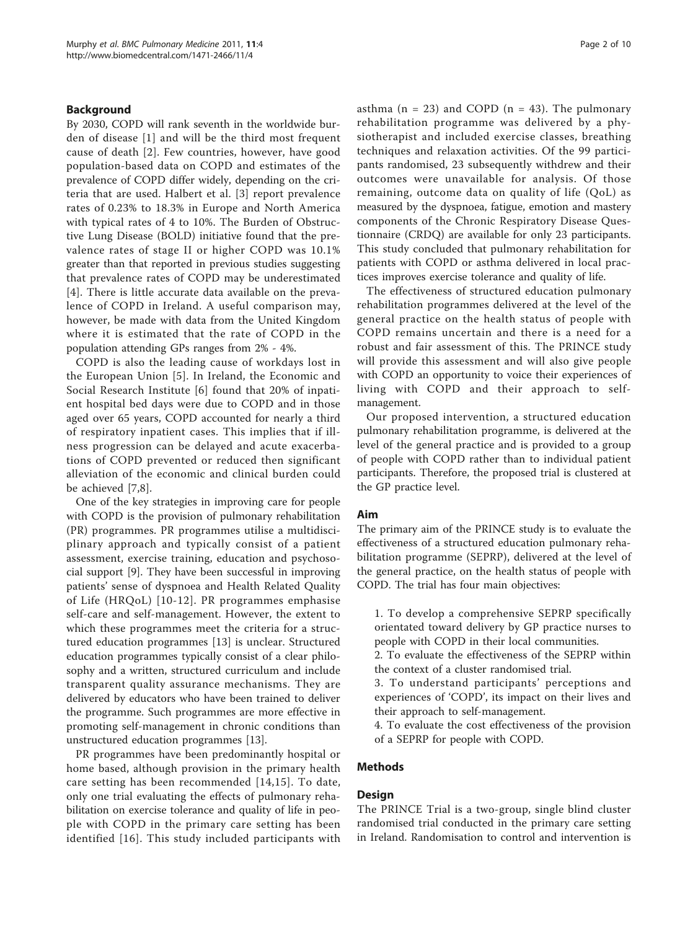#### Background

By 2030, COPD will rank seventh in the worldwide burden of disease [[1\]](#page-8-0) and will be the third most frequent cause of death [[2\]](#page-8-0). Few countries, however, have good population-based data on COPD and estimates of the prevalence of COPD differ widely, depending on the criteria that are used. Halbert et al. [[3](#page-8-0)] report prevalence rates of 0.23% to 18.3% in Europe and North America with typical rates of 4 to 10%. The Burden of Obstructive Lung Disease (BOLD) initiative found that the prevalence rates of stage II or higher COPD was 10.1% greater than that reported in previous studies suggesting that prevalence rates of COPD may be underestimated [[4\]](#page-8-0). There is little accurate data available on the prevalence of COPD in Ireland. A useful comparison may, however, be made with data from the United Kingdom where it is estimated that the rate of COPD in the population attending GPs ranges from 2% - 4%.

COPD is also the leading cause of workdays lost in the European Union [[5\]](#page-8-0). In Ireland, the Economic and Social Research Institute [\[6\]](#page-8-0) found that 20% of inpatient hospital bed days were due to COPD and in those aged over 65 years, COPD accounted for nearly a third of respiratory inpatient cases. This implies that if illness progression can be delayed and acute exacerbations of COPD prevented or reduced then significant alleviation of the economic and clinical burden could be achieved [\[7,8](#page-8-0)].

One of the key strategies in improving care for people with COPD is the provision of pulmonary rehabilitation (PR) programmes. PR programmes utilise a multidisciplinary approach and typically consist of a patient assessment, exercise training, education and psychosocial support [[9\]](#page-8-0). They have been successful in improving patients' sense of dyspnoea and Health Related Quality of Life (HRQoL) [[10-12\]](#page-8-0). PR programmes emphasise self-care and self-management. However, the extent to which these programmes meet the criteria for a structured education programmes [\[13](#page-8-0)] is unclear. Structured education programmes typically consist of a clear philosophy and a written, structured curriculum and include transparent quality assurance mechanisms. They are delivered by educators who have been trained to deliver the programme. Such programmes are more effective in promoting self-management in chronic conditions than unstructured education programmes [[13\]](#page-8-0).

PR programmes have been predominantly hospital or home based, although provision in the primary health care setting has been recommended [[14](#page-8-0)[,15\]](#page-9-0). To date, only one trial evaluating the effects of pulmonary rehabilitation on exercise tolerance and quality of life in people with COPD in the primary care setting has been identified [[16\]](#page-9-0). This study included participants with asthma ( $n = 23$ ) and COPD ( $n = 43$ ). The pulmonary rehabilitation programme was delivered by a physiotherapist and included exercise classes, breathing techniques and relaxation activities. Of the 99 participants randomised, 23 subsequently withdrew and their outcomes were unavailable for analysis. Of those remaining, outcome data on quality of life (QoL) as measured by the dyspnoea, fatigue, emotion and mastery components of the Chronic Respiratory Disease Questionnaire (CRDQ) are available for only 23 participants. This study concluded that pulmonary rehabilitation for patients with COPD or asthma delivered in local practices improves exercise tolerance and quality of life.

The effectiveness of structured education pulmonary rehabilitation programmes delivered at the level of the general practice on the health status of people with COPD remains uncertain and there is a need for a robust and fair assessment of this. The PRINCE study will provide this assessment and will also give people with COPD an opportunity to voice their experiences of living with COPD and their approach to selfmanagement.

Our proposed intervention, a structured education pulmonary rehabilitation programme, is delivered at the level of the general practice and is provided to a group of people with COPD rather than to individual patient participants. Therefore, the proposed trial is clustered at the GP practice level.

#### Aim

The primary aim of the PRINCE study is to evaluate the effectiveness of a structured education pulmonary rehabilitation programme (SEPRP), delivered at the level of the general practice, on the health status of people with COPD. The trial has four main objectives:

- 1. To develop a comprehensive SEPRP specifically orientated toward delivery by GP practice nurses to people with COPD in their local communities.
- 2. To evaluate the effectiveness of the SEPRP within the context of a cluster randomised trial.
- 3. To understand participants' perceptions and experiences of 'COPD', its impact on their lives and their approach to self-management.
- 4. To evaluate the cost effectiveness of the provision of a SEPRP for people with COPD.

#### Methods

#### **Design**

The PRINCE Trial is a two-group, single blind cluster randomised trial conducted in the primary care setting in Ireland. Randomisation to control and intervention is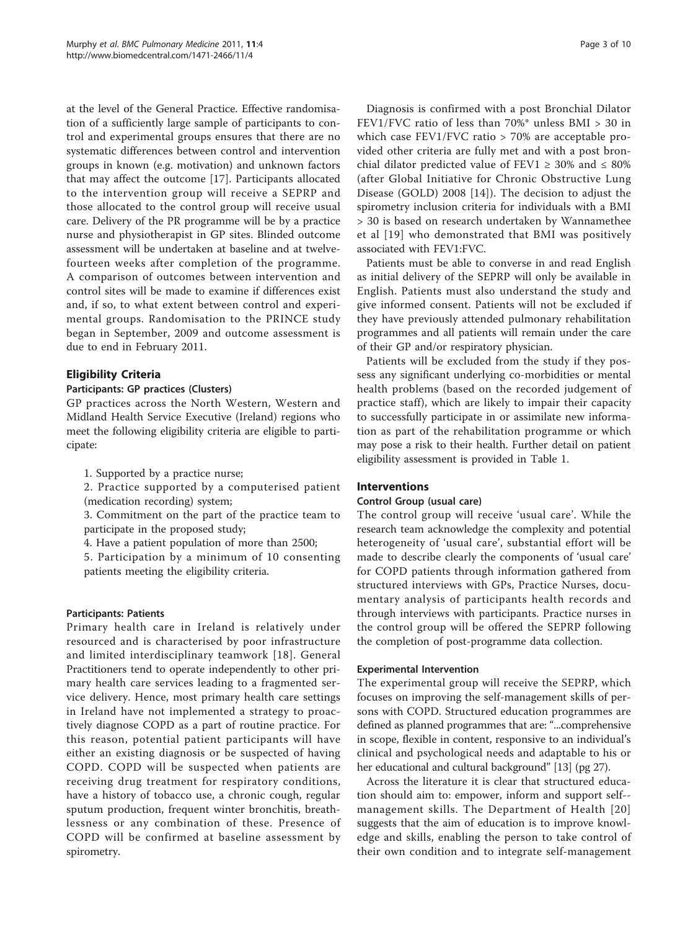at the level of the General Practice. Effective randomisation of a sufficiently large sample of participants to control and experimental groups ensures that there are no systematic differences between control and intervention groups in known (e.g. motivation) and unknown factors that may affect the outcome [\[17](#page-9-0)]. Participants allocated to the intervention group will receive a SEPRP and those allocated to the control group will receive usual care. Delivery of the PR programme will be by a practice nurse and physiotherapist in GP sites. Blinded outcome assessment will be undertaken at baseline and at twelvefourteen weeks after completion of the programme. A comparison of outcomes between intervention and control sites will be made to examine if differences exist and, if so, to what extent between control and experimental groups. Randomisation to the PRINCE study began in September, 2009 and outcome assessment is due to end in February 2011.

### Eligibility Criteria

#### Participants: GP practices (Clusters)

GP practices across the North Western, Western and Midland Health Service Executive (Ireland) regions who meet the following eligibility criteria are eligible to participate:

- 1. Supported by a practice nurse;
- 2. Practice supported by a computerised patient (medication recording) system;

3. Commitment on the part of the practice team to participate in the proposed study;

4. Have a patient population of more than 2500;

5. Participation by a minimum of 10 consenting patients meeting the eligibility criteria.

#### Participants: Patients

Primary health care in Ireland is relatively under resourced and is characterised by poor infrastructure and limited interdisciplinary teamwork [\[18\]](#page-9-0). General Practitioners tend to operate independently to other primary health care services leading to a fragmented service delivery. Hence, most primary health care settings in Ireland have not implemented a strategy to proactively diagnose COPD as a part of routine practice. For this reason, potential patient participants will have either an existing diagnosis or be suspected of having COPD. COPD will be suspected when patients are receiving drug treatment for respiratory conditions, have a history of tobacco use, a chronic cough, regular sputum production, frequent winter bronchitis, breathlessness or any combination of these. Presence of COPD will be confirmed at baseline assessment by spirometry.

Diagnosis is confirmed with a post Bronchial Dilator FEV1/FVC ratio of less than 70%\* unless BMI > 30 in which case FEV1/FVC ratio > 70% are acceptable provided other criteria are fully met and with a post bronchial dilator predicted value of FEV1  $\geq$  30% and  $\leq$  80% (after Global Initiative for Chronic Obstructive Lung Disease (GOLD) 2008 [[14\]](#page-8-0)). The decision to adjust the spirometry inclusion criteria for individuals with a BMI > 30 is based on research undertaken by Wannamethee et al [[19\]](#page-9-0) who demonstrated that BMI was positively associated with FEV1:FVC.

Patients must be able to converse in and read English as initial delivery of the SEPRP will only be available in English. Patients must also understand the study and give informed consent. Patients will not be excluded if they have previously attended pulmonary rehabilitation programmes and all patients will remain under the care of their GP and/or respiratory physician.

Patients will be excluded from the study if they possess any significant underlying co-morbidities or mental health problems (based on the recorded judgement of practice staff), which are likely to impair their capacity to successfully participate in or assimilate new information as part of the rehabilitation programme or which may pose a risk to their health. Further detail on patient eligibility assessment is provided in Table [1.](#page-3-0)

#### Interventions

#### Control Group (usual care)

The control group will receive 'usual care'. While the research team acknowledge the complexity and potential heterogeneity of 'usual care', substantial effort will be made to describe clearly the components of 'usual care' for COPD patients through information gathered from structured interviews with GPs, Practice Nurses, documentary analysis of participants health records and through interviews with participants. Practice nurses in the control group will be offered the SEPRP following the completion of post-programme data collection.

#### Experimental Intervention

The experimental group will receive the SEPRP, which focuses on improving the self-management skills of persons with COPD. Structured education programmes are defined as planned programmes that are: "...comprehensive in scope, flexible in content, responsive to an individual's clinical and psychological needs and adaptable to his or her educational and cultural background" [[13](#page-8-0)] (pg 27).

Across the literature it is clear that structured education should aim to: empower, inform and support self- management skills. The Department of Health [[20](#page-9-0)] suggests that the aim of education is to improve knowledge and skills, enabling the person to take control of their own condition and to integrate self-management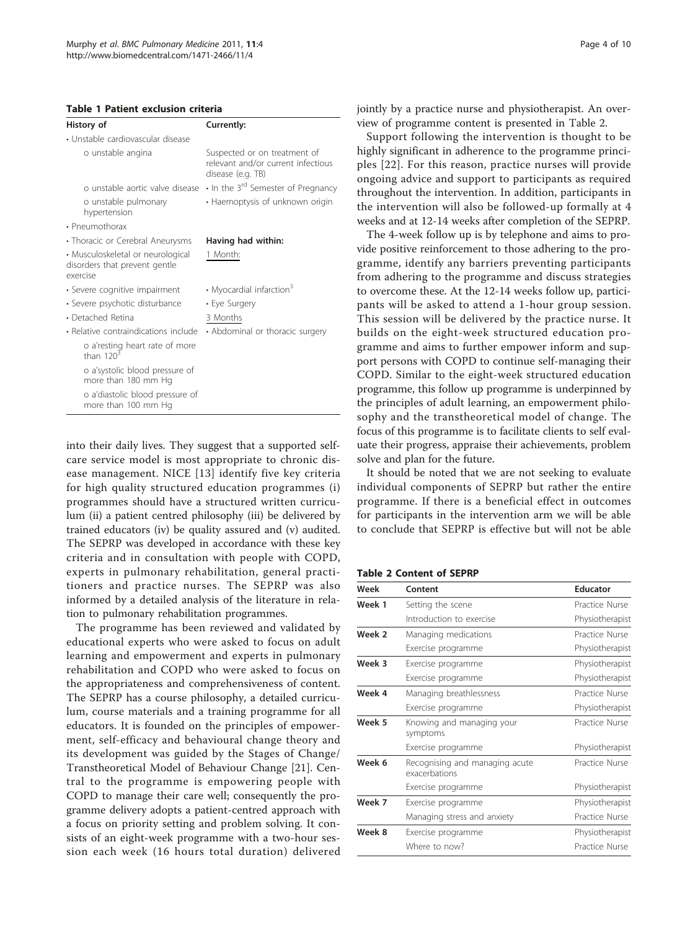#### <span id="page-3-0"></span>Table 1 Patient exclusion criteria

| History of                                                                     | Currently:                                                                              |  |
|--------------------------------------------------------------------------------|-----------------------------------------------------------------------------------------|--|
| • Unstable cardiovascular disease                                              |                                                                                         |  |
| o unstable angina                                                              | Suspected or on treatment of<br>relevant and/or current infectious<br>disease (e.g. TB) |  |
| o unstable aortic valve disease                                                | $\cdot$ In the 3 <sup>rd</sup> Semester of Pregnancy                                    |  |
| o unstable pulmonary<br>hypertension                                           | • Haemoptysis of unknown origin                                                         |  |
| • Pneumothorax                                                                 |                                                                                         |  |
| • Thoracic or Cerebral Aneurysms                                               | Having had within:                                                                      |  |
| • Musculoskeletal or neurological<br>disorders that prevent gentle<br>exercise | 1 Month:                                                                                |  |
| • Severe cognitive impairment                                                  | • Myocardial infarction <sup>3</sup>                                                    |  |
| • Severe psychotic disturbance                                                 | • Eye Surgery                                                                           |  |
| • Detached Retina                                                              | 3 Months                                                                                |  |
| • Relative contraindications include                                           | • Abdominal or thoracic surgery                                                         |  |
| o a'resting heart rate of more<br>than $1203$                                  |                                                                                         |  |
| o a'systolic blood pressure of<br>more than 180 mm Hq                          |                                                                                         |  |
| o a'diastolic blood pressure of<br>more than 100 mm Hq                         |                                                                                         |  |

into their daily lives. They suggest that a supported selfcare service model is most appropriate to chronic disease management. NICE [[13](#page-8-0)] identify five key criteria for high quality structured education programmes (i) programmes should have a structured written curriculum (ii) a patient centred philosophy (iii) be delivered by trained educators (iv) be quality assured and (v) audited. The SEPRP was developed in accordance with these key criteria and in consultation with people with COPD, experts in pulmonary rehabilitation, general practitioners and practice nurses. The SEPRP was also informed by a detailed analysis of the literature in relation to pulmonary rehabilitation programmes.

The programme has been reviewed and validated by educational experts who were asked to focus on adult learning and empowerment and experts in pulmonary rehabilitation and COPD who were asked to focus on the appropriateness and comprehensiveness of content. The SEPRP has a course philosophy, a detailed curriculum, course materials and a training programme for all educators. It is founded on the principles of empowerment, self-efficacy and behavioural change theory and its development was guided by the Stages of Change/ Transtheoretical Model of Behaviour Change [[21\]](#page-9-0). Central to the programme is empowering people with COPD to manage their care well; consequently the programme delivery adopts a patient-centred approach with a focus on priority setting and problem solving. It consists of an eight-week programme with a two-hour session each week (16 hours total duration) delivered jointly by a practice nurse and physiotherapist. An overview of programme content is presented in Table 2.

Support following the intervention is thought to be highly significant in adherence to the programme principles [\[22\]](#page-9-0). For this reason, practice nurses will provide ongoing advice and support to participants as required throughout the intervention. In addition, participants in the intervention will also be followed-up formally at 4 weeks and at 12-14 weeks after completion of the SEPRP.

The 4-week follow up is by telephone and aims to provide positive reinforcement to those adhering to the programme, identify any barriers preventing participants from adhering to the programme and discuss strategies to overcome these. At the 12-14 weeks follow up, participants will be asked to attend a 1-hour group session. This session will be delivered by the practice nurse. It builds on the eight-week structured education programme and aims to further empower inform and support persons with COPD to continue self-managing their COPD. Similar to the eight-week structured education programme, this follow up programme is underpinned by the principles of adult learning, an empowerment philosophy and the transtheoretical model of change. The focus of this programme is to facilitate clients to self evaluate their progress, appraise their achievements, problem solve and plan for the future.

It should be noted that we are not seeking to evaluate individual components of SEPRP but rather the entire programme. If there is a beneficial effect in outcomes for participants in the intervention arm we will be able to conclude that SEPRP is effective but will not be able

#### Table 2 Content of SEPRP

| Week   | Content                                         | <b>Educator</b> |
|--------|-------------------------------------------------|-----------------|
| Week 1 | Setting the scene                               | Practice Nurse  |
|        | Introduction to exercise                        | Physiotherapist |
| Week 2 | Managing medications                            | Practice Nurse  |
|        | Exercise programme                              | Physiotherapist |
| Week 3 | Exercise programme                              | Physiotherapist |
|        | Exercise programme                              | Physiotherapist |
| Week 4 | Managing breathlessness                         | Practice Nurse  |
|        | Exercise programme                              | Physiotherapist |
| Week 5 | Knowing and managing your<br>symptoms           | Practice Nurse  |
|        | Exercise programme                              | Physiotherapist |
| Week 6 | Recognising and managing acute<br>exacerbations | Practice Nurse  |
|        | Exercise programme                              | Physiotherapist |
| Week 7 | Exercise programme                              | Physiotherapist |
|        | Managing stress and anxiety                     | Practice Nurse  |
| Week 8 | Exercise programme                              | Physiotherapist |
|        | Where to now?                                   | Practice Nurse  |
|        |                                                 |                 |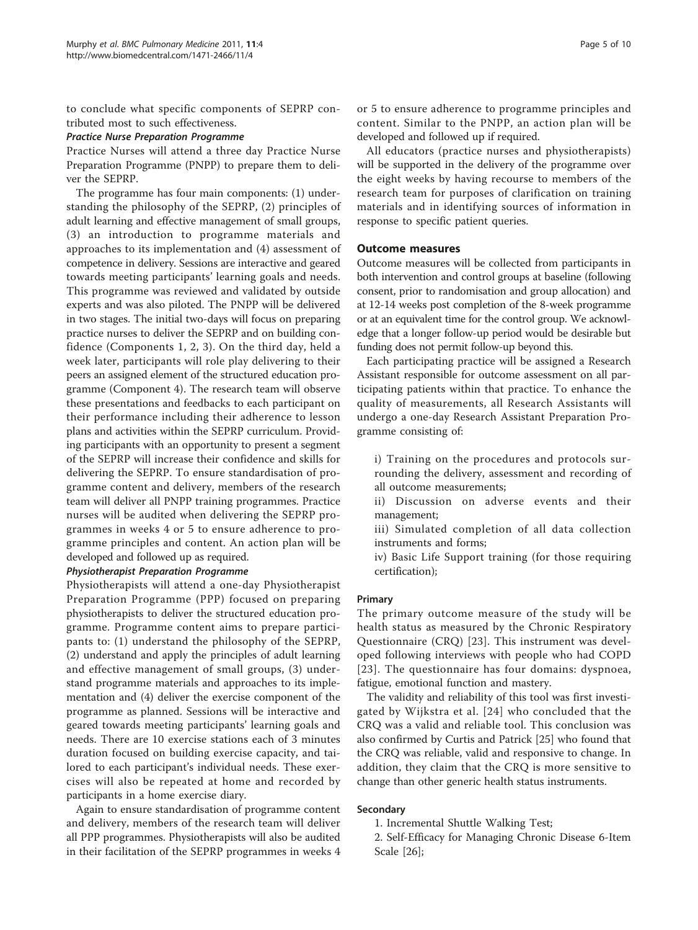to conclude what specific components of SEPRP contributed most to such effectiveness.

Practice Nurses will attend a three day Practice Nurse Preparation Programme (PNPP) to prepare them to deliver the SEPRP.

The programme has four main components: (1) understanding the philosophy of the SEPRP, (2) principles of adult learning and effective management of small groups, (3) an introduction to programme materials and approaches to its implementation and (4) assessment of competence in delivery. Sessions are interactive and geared towards meeting participants' learning goals and needs. This programme was reviewed and validated by outside experts and was also piloted. The PNPP will be delivered in two stages. The initial two-days will focus on preparing practice nurses to deliver the SEPRP and on building confidence (Components 1, 2, 3). On the third day, held a week later, participants will role play delivering to their peers an assigned element of the structured education programme (Component 4). The research team will observe these presentations and feedbacks to each participant on their performance including their adherence to lesson plans and activities within the SEPRP curriculum. Providing participants with an opportunity to present a segment of the SEPRP will increase their confidence and skills for delivering the SEPRP. To ensure standardisation of programme content and delivery, members of the research team will deliver all PNPP training programmes. Practice nurses will be audited when delivering the SEPRP programmes in weeks 4 or 5 to ensure adherence to programme principles and content. An action plan will be developed and followed up as required.

Physiotherapist Preparation Programme Physiotherapists will attend a one-day Physiotherapist Preparation Programme (PPP) focused on preparing physiotherapists to deliver the structured education programme. Programme content aims to prepare participants to: (1) understand the philosophy of the SEPRP, (2) understand and apply the principles of adult learning and effective management of small groups, (3) understand programme materials and approaches to its implementation and (4) deliver the exercise component of the programme as planned. Sessions will be interactive and geared towards meeting participants' learning goals and needs. There are 10 exercise stations each of 3 minutes duration focused on building exercise capacity, and tailored to each participant's individual needs. These exercises will also be repeated at home and recorded by participants in a home exercise diary.

Again to ensure standardisation of programme content and delivery, members of the research team will deliver all PPP programmes. Physiotherapists will also be audited in their facilitation of the SEPRP programmes in weeks 4 or 5 to ensure adherence to programme principles and content. Similar to the PNPP, an action plan will be developed and followed up if required.

All educators (practice nurses and physiotherapists) will be supported in the delivery of the programme over the eight weeks by having recourse to members of the research team for purposes of clarification on training materials and in identifying sources of information in response to specific patient queries.

#### Outcome measures

Outcome measures will be collected from participants in both intervention and control groups at baseline (following consent, prior to randomisation and group allocation) and at 12-14 weeks post completion of the 8-week programme or at an equivalent time for the control group. We acknowledge that a longer follow-up period would be desirable but funding does not permit follow-up beyond this.

Each participating practice will be assigned a Research Assistant responsible for outcome assessment on all participating patients within that practice. To enhance the quality of measurements, all Research Assistants will undergo a one-day Research Assistant Preparation Programme consisting of:

- i) Training on the procedures and protocols surrounding the delivery, assessment and recording of all outcome measurements;
- ii) Discussion on adverse events and their management;
- iii) Simulated completion of all data collection instruments and forms;
- iv) Basic Life Support training (for those requiring certification);

#### Primary

The primary outcome measure of the study will be health status as measured by the Chronic Respiratory Questionnaire (CRQ) [\[23\]](#page-9-0). This instrument was developed following interviews with people who had COPD [[23\]](#page-9-0). The questionnaire has four domains: dyspnoea, fatigue, emotional function and mastery.

The validity and reliability of this tool was first investigated by Wijkstra et al. [[24](#page-9-0)] who concluded that the CRQ was a valid and reliable tool. This conclusion was also confirmed by Curtis and Patrick [\[25\]](#page-9-0) who found that the CRQ was reliable, valid and responsive to change. In addition, they claim that the CRQ is more sensitive to change than other generic health status instruments.

#### **Secondary**

1. Incremental Shuttle Walking Test;

2. Self-Efficacy for Managing Chronic Disease 6-Item Scale [[26](#page-9-0)];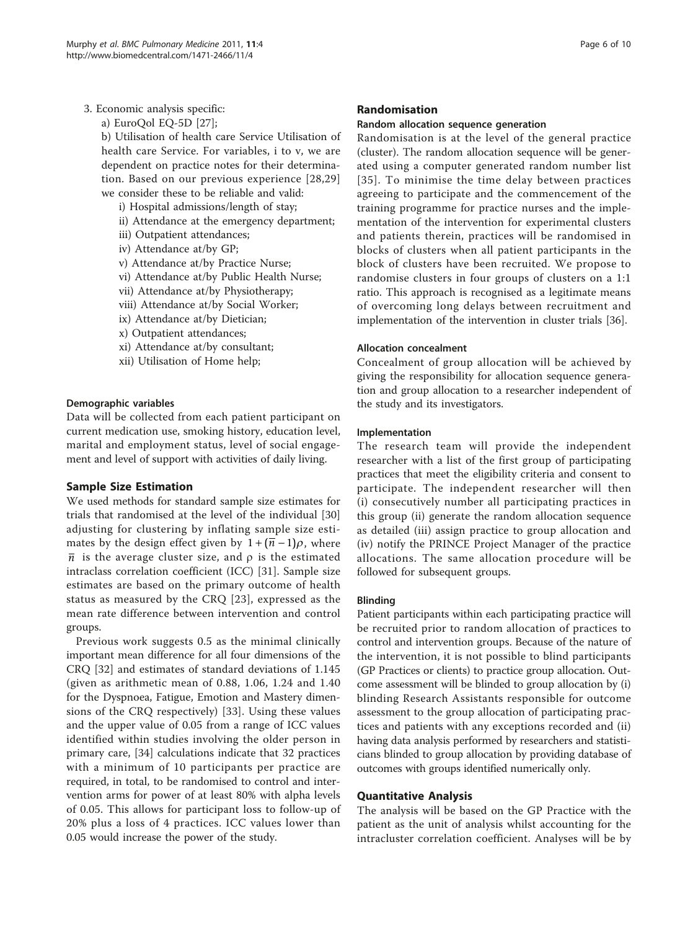- 3. Economic analysis specific:
	- a) EuroQol EQ-5D [\[27](#page-9-0)];

b) Utilisation of health care Service Utilisation of health care Service. For variables, i to v, we are dependent on practice notes for their determination. Based on our previous experience [\[28,29](#page-9-0)] we consider these to be reliable and valid:

- i) Hospital admissions/length of stay;
- ii) Attendance at the emergency department;
- iii) Outpatient attendances;
- iv) Attendance at/by GP;
- v) Attendance at/by Practice Nurse;
- vi) Attendance at/by Public Health Nurse;
- vii) Attendance at/by Physiotherapy;
- viii) Attendance at/by Social Worker;
- ix) Attendance at/by Dietician;
- x) Outpatient attendances;
- xi) Attendance at/by consultant;
- xii) Utilisation of Home help;

#### Demographic variables

Data will be collected from each patient participant on current medication use, smoking history, education level, marital and employment status, level of social engagement and level of support with activities of daily living.

#### Sample Size Estimation

We used methods for standard sample size estimates for trials that randomised at the level of the individual [\[30](#page-9-0)] adjusting for clustering by inflating sample size estimates by the design effect given by  $1 + (\overline{n} - 1)\rho$ , where  $\overline{n}$  is the average cluster size, and  $\rho$  is the estimated intraclass correlation coefficient (ICC) [\[31](#page-9-0)]. Sample size estimates are based on the primary outcome of health status as measured by the CRQ [\[23\]](#page-9-0), expressed as the mean rate difference between intervention and control groups.

Previous work suggests 0.5 as the minimal clinically important mean difference for all four dimensions of the CRQ [[32\]](#page-9-0) and estimates of standard deviations of 1.145 (given as arithmetic mean of 0.88, 1.06, 1.24 and 1.40 for the Dyspnoea, Fatigue, Emotion and Mastery dimensions of the CRQ respectively) [[33](#page-9-0)]. Using these values and the upper value of 0.05 from a range of ICC values identified within studies involving the older person in primary care, [[34\]](#page-9-0) calculations indicate that 32 practices with a minimum of 10 participants per practice are required, in total, to be randomised to control and intervention arms for power of at least 80% with alpha levels of 0.05. This allows for participant loss to follow-up of 20% plus a loss of 4 practices. ICC values lower than 0.05 would increase the power of the study.

#### Randomisation

#### Random allocation sequence generation

Randomisation is at the level of the general practice (cluster). The random allocation sequence will be generated using a computer generated random number list [[35](#page-9-0)]. To minimise the time delay between practices agreeing to participate and the commencement of the training programme for practice nurses and the implementation of the intervention for experimental clusters and patients therein, practices will be randomised in blocks of clusters when all patient participants in the block of clusters have been recruited. We propose to randomise clusters in four groups of clusters on a 1:1 ratio. This approach is recognised as a legitimate means of overcoming long delays between recruitment and implementation of the intervention in cluster trials [\[36](#page-9-0)].

#### Allocation concealment

Concealment of group allocation will be achieved by giving the responsibility for allocation sequence generation and group allocation to a researcher independent of the study and its investigators.

#### Implementation

The research team will provide the independent researcher with a list of the first group of participating practices that meet the eligibility criteria and consent to participate. The independent researcher will then (i) consecutively number all participating practices in this group (ii) generate the random allocation sequence as detailed (iii) assign practice to group allocation and (iv) notify the PRINCE Project Manager of the practice allocations. The same allocation procedure will be followed for subsequent groups.

#### Blinding

Patient participants within each participating practice will be recruited prior to random allocation of practices to control and intervention groups. Because of the nature of the intervention, it is not possible to blind participants (GP Practices or clients) to practice group allocation. Outcome assessment will be blinded to group allocation by (i) blinding Research Assistants responsible for outcome assessment to the group allocation of participating practices and patients with any exceptions recorded and (ii) having data analysis performed by researchers and statisticians blinded to group allocation by providing database of outcomes with groups identified numerically only.

#### Quantitative Analysis

The analysis will be based on the GP Practice with the patient as the unit of analysis whilst accounting for the intracluster correlation coefficient. Analyses will be by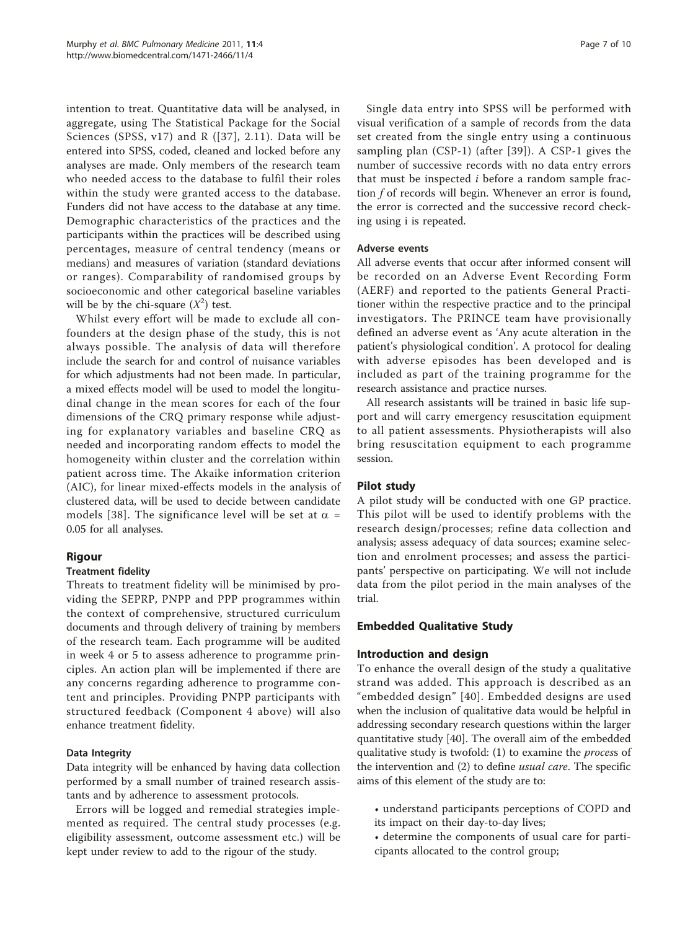intention to treat. Quantitative data will be analysed, in aggregate, using The Statistical Package for the Social Sciences (SPSS, v17) and R ([[37](#page-9-0)], 2.11). Data will be entered into SPSS, coded, cleaned and locked before any analyses are made. Only members of the research team who needed access to the database to fulfil their roles within the study were granted access to the database. Funders did not have access to the database at any time. Demographic characteristics of the practices and the participants within the practices will be described using percentages, measure of central tendency (means or medians) and measures of variation (standard deviations or ranges). Comparability of randomised groups by socioeconomic and other categorical baseline variables will be by the chi-square  $(X^2)$  test.

Whilst every effort will be made to exclude all confounders at the design phase of the study, this is not always possible. The analysis of data will therefore include the search for and control of nuisance variables for which adjustments had not been made. In particular, a mixed effects model will be used to model the longitudinal change in the mean scores for each of the four dimensions of the CRQ primary response while adjusting for explanatory variables and baseline CRQ as needed and incorporating random effects to model the homogeneity within cluster and the correlation within patient across time. The Akaike information criterion (AIC), for linear mixed-effects models in the analysis of clustered data, will be used to decide between candidate models [[38](#page-9-0)]. The significance level will be set at  $\alpha$  = 0.05 for all analyses.

#### Rigour

#### Treatment fidelity

Threats to treatment fidelity will be minimised by providing the SEPRP, PNPP and PPP programmes within the context of comprehensive, structured curriculum documents and through delivery of training by members of the research team. Each programme will be audited in week 4 or 5 to assess adherence to programme principles. An action plan will be implemented if there are any concerns regarding adherence to programme content and principles. Providing PNPP participants with structured feedback (Component 4 above) will also enhance treatment fidelity.

#### Data Integrity

Data integrity will be enhanced by having data collection performed by a small number of trained research assistants and by adherence to assessment protocols.

Errors will be logged and remedial strategies implemented as required. The central study processes (e.g. eligibility assessment, outcome assessment etc.) will be kept under review to add to the rigour of the study.

Single data entry into SPSS will be performed with visual verification of a sample of records from the data set created from the single entry using a continuous sampling plan (CSP-1) (after [\[39\]](#page-9-0)). A CSP-1 gives the number of successive records with no data entry errors that must be inspected  $i$  before a random sample fraction f of records will begin. Whenever an error is found, the error is corrected and the successive record checking using i is repeated.

#### Adverse events

All adverse events that occur after informed consent will be recorded on an Adverse Event Recording Form (AERF) and reported to the patients General Practitioner within the respective practice and to the principal investigators. The PRINCE team have provisionally defined an adverse event as 'Any acute alteration in the patient's physiological condition'. A protocol for dealing with adverse episodes has been developed and is included as part of the training programme for the research assistance and practice nurses.

All research assistants will be trained in basic life support and will carry emergency resuscitation equipment to all patient assessments. Physiotherapists will also bring resuscitation equipment to each programme session.

#### Pilot study

A pilot study will be conducted with one GP practice. This pilot will be used to identify problems with the research design/processes; refine data collection and analysis; assess adequacy of data sources; examine selection and enrolment processes; and assess the participants' perspective on participating. We will not include data from the pilot period in the main analyses of the trial.

#### Embedded Qualitative Study

#### Introduction and design

To enhance the overall design of the study a qualitative strand was added. This approach is described as an "embedded design" [[40](#page-9-0)]. Embedded designs are used when the inclusion of qualitative data would be helpful in addressing secondary research questions within the larger quantitative study [\[40](#page-9-0)]. The overall aim of the embedded qualitative study is twofold: (1) to examine the process of the intervention and (2) to define usual care. The specific aims of this element of the study are to:

- understand participants perceptions of COPD and its impact on their day-to-day lives;
- determine the components of usual care for participants allocated to the control group;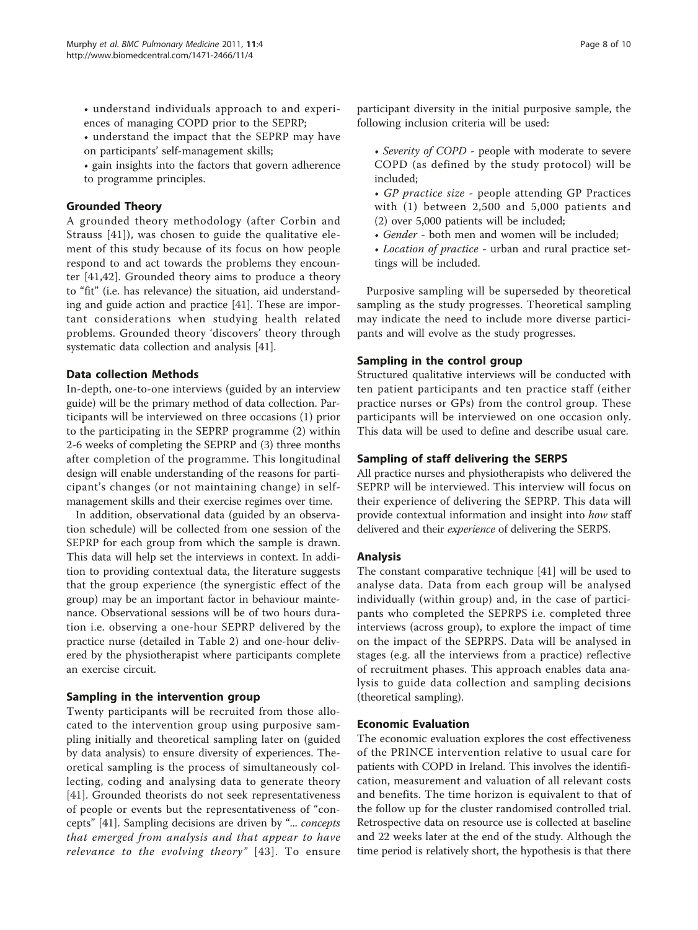• understand individuals approach to and experiences of managing COPD prior to the SEPRP;

- understand the impact that the SEPRP may have on participants' self-management skills;
- gain insights into the factors that govern adherence to programme principles.

#### Grounded Theory

A grounded theory methodology (after Corbin and Strauss [\[41\]](#page-9-0)), was chosen to guide the qualitative element of this study because of its focus on how people respond to and act towards the problems they encounter [[41](#page-9-0),[42\]](#page-9-0). Grounded theory aims to produce a theory to "fit" (i.e. has relevance) the situation, aid understanding and guide action and practice [[41\]](#page-9-0). These are important considerations when studying health related problems. Grounded theory 'discovers' theory through systematic data collection and analysis [[41](#page-9-0)].

#### Data collection Methods

In-depth, one-to-one interviews (guided by an interview guide) will be the primary method of data collection. Participants will be interviewed on three occasions (1) prior to the participating in the SEPRP programme (2) within 2-6 weeks of completing the SEPRP and (3) three months after completion of the programme. This longitudinal design will enable understanding of the reasons for participant's changes (or not maintaining change) in selfmanagement skills and their exercise regimes over time.

In addition, observational data (guided by an observation schedule) will be collected from one session of the SEPRP for each group from which the sample is drawn. This data will help set the interviews in context. In addition to providing contextual data, the literature suggests that the group experience (the synergistic effect of the group) may be an important factor in behaviour maintenance. Observational sessions will be of two hours duration i.e. observing a one-hour SEPRP delivered by the practice nurse (detailed in Table [2\)](#page-3-0) and one-hour delivered by the physiotherapist where participants complete an exercise circuit.

### Sampling in the intervention group

Twenty participants will be recruited from those allocated to the intervention group using purposive sampling initially and theoretical sampling later on (guided by data analysis) to ensure diversity of experiences. Theoretical sampling is the process of simultaneously collecting, coding and analysing data to generate theory [[41\]](#page-9-0). Grounded theorists do not seek representativeness of people or events but the representativeness of "concepts" [\[41](#page-9-0)]. Sampling decisions are driven by "... concepts that emerged from analysis and that appear to have relevance to the evolving theory" [[43](#page-9-0)]. To ensure

participant diversity in the initial purposive sample, the following inclusion criteria will be used:

- Severity of COPD people with moderate to severe COPD (as defined by the study protocol) will be included;
- GP practice size people attending GP Practices with (1) between 2,500 and 5,000 patients and (2) over 5,000 patients will be included;
- Gender both men and women will be included;
- Location of practice urban and rural practice settings will be included.

Purposive sampling will be superseded by theoretical sampling as the study progresses. Theoretical sampling may indicate the need to include more diverse participants and will evolve as the study progresses.

#### Sampling in the control group

Structured qualitative interviews will be conducted with ten patient participants and ten practice staff (either practice nurses or GPs) from the control group. These participants will be interviewed on one occasion only. This data will be used to define and describe usual care.

#### Sampling of staff delivering the SERPS

All practice nurses and physiotherapists who delivered the SEPRP will be interviewed. This interview will focus on their experience of delivering the SEPRP. This data will provide contextual information and insight into how staff delivered and their experience of delivering the SERPS.

#### Analysis

The constant comparative technique [[41](#page-9-0)] will be used to analyse data. Data from each group will be analysed individually (within group) and, in the case of participants who completed the SEPRPS i.e. completed three interviews (across group), to explore the impact of time on the impact of the SEPRPS. Data will be analysed in stages (e.g. all the interviews from a practice) reflective of recruitment phases. This approach enables data analysis to guide data collection and sampling decisions (theoretical sampling).

#### Economic Evaluation

The economic evaluation explores the cost effectiveness of the PRINCE intervention relative to usual care for patients with COPD in Ireland. This involves the identification, measurement and valuation of all relevant costs and benefits. The time horizon is equivalent to that of the follow up for the cluster randomised controlled trial. Retrospective data on resource use is collected at baseline and 22 weeks later at the end of the study. Although the time period is relatively short, the hypothesis is that there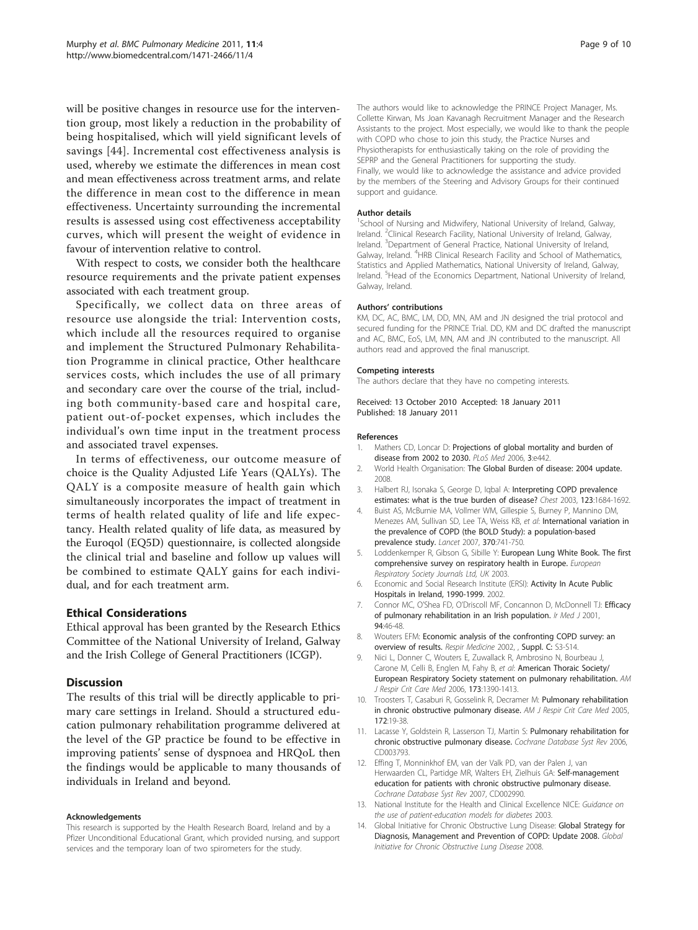<span id="page-8-0"></span>will be positive changes in resource use for the intervention group, most likely a reduction in the probability of being hospitalised, which will yield significant levels of savings [\[44\]](#page-9-0). Incremental cost effectiveness analysis is used, whereby we estimate the differences in mean cost and mean effectiveness across treatment arms, and relate the difference in mean cost to the difference in mean effectiveness. Uncertainty surrounding the incremental results is assessed using cost effectiveness acceptability curves, which will present the weight of evidence in favour of intervention relative to control.

With respect to costs, we consider both the healthcare resource requirements and the private patient expenses associated with each treatment group.

Specifically, we collect data on three areas of resource use alongside the trial: Intervention costs, which include all the resources required to organise and implement the Structured Pulmonary Rehabilitation Programme in clinical practice, Other healthcare services costs, which includes the use of all primary and secondary care over the course of the trial, including both community-based care and hospital care, patient out-of-pocket expenses, which includes the individual's own time input in the treatment process and associated travel expenses.

In terms of effectiveness, our outcome measure of choice is the Quality Adjusted Life Years (QALYs). The QALY is a composite measure of health gain which simultaneously incorporates the impact of treatment in terms of health related quality of life and life expectancy. Health related quality of life data, as measured by the Euroqol (EQ5D) questionnaire, is collected alongside the clinical trial and baseline and follow up values will be combined to estimate QALY gains for each individual, and for each treatment arm.

#### Ethical Considerations

Ethical approval has been granted by the Research Ethics Committee of the National University of Ireland, Galway and the Irish College of General Practitioners (ICGP).

#### **Discussion**

The results of this trial will be directly applicable to primary care settings in Ireland. Should a structured education pulmonary rehabilitation programme delivered at the level of the GP practice be found to be effective in improving patients' sense of dyspnoea and HRQoL then the findings would be applicable to many thousands of individuals in Ireland and beyond.

#### Acknowledgements

This research is supported by the Health Research Board, Ireland and by a Pfizer Unconditional Educational Grant, which provided nursing, and support services and the temporary loan of two spirometers for the study.

The authors would like to acknowledge the PRINCE Project Manager, Ms. Collette Kirwan, Ms Joan Kavanagh Recruitment Manager and the Research Assistants to the project. Most especially, we would like to thank the people with COPD who chose to join this study, the Practice Nurses and Physiotherapists for enthusiastically taking on the role of providing the SEPRP and the General Practitioners for supporting the study. Finally, we would like to acknowledge the assistance and advice provided by the members of the Steering and Advisory Groups for their continued support and guidance.

#### Author details

<sup>1</sup>School of Nursing and Midwifery, National University of Ireland, Galway Ireland. <sup>2</sup>Clinical Research Facility, National University of Ireland, Galway, Ireland. <sup>3</sup>Department of General Practice, National University of Ireland, Galway, Ireland. <sup>4</sup>HRB Clinical Research Facility and School of Mathematics, Statistics and Applied Mathematics, National University of Ireland, Galway, Ireland. <sup>5</sup> Head of the Economics Department, National University of Ireland Galway, Ireland.

#### Authors' contributions

KM, DC, AC, BMC, LM, DD, MN, AM and JN designed the trial protocol and secured funding for the PRINCE Trial. DD, KM and DC drafted the manuscript and AC, BMC, EoS, LM, MN, AM and JN contributed to the manuscript. All authors read and approved the final manuscript.

#### Competing interests

The authors declare that they have no competing interests.

#### Received: 13 October 2010 Accepted: 18 January 2011 Published: 18 January 2011

#### References

- 1. Mathers CD, Loncar D: [Projections of global mortality and burden of](http://www.ncbi.nlm.nih.gov/pubmed/17132052?dopt=Abstract) [disease from 2002 to 2030.](http://www.ncbi.nlm.nih.gov/pubmed/17132052?dopt=Abstract) PLoS Med 2006, 3:e442.
- 2. World Health Organisation: The Global Burden of disease: 2004 update. 2008.
- Halbert RJ, Isonaka S, George D, Iqbal A: [Interpreting COPD prevalence](http://www.ncbi.nlm.nih.gov/pubmed/12740290?dopt=Abstract) [estimates: what is the true burden of disease?](http://www.ncbi.nlm.nih.gov/pubmed/12740290?dopt=Abstract) Chest 2003, 123:1684-1692.
- 4. Buist AS, McBurnie MA, Vollmer WM, Gillespie S, Burney P, Mannino DM, Menezes AM, Sullivan SD, Lee TA, Weiss KB, et al: [International variation in](http://www.ncbi.nlm.nih.gov/pubmed/17765523?dopt=Abstract) [the prevalence of COPD \(the BOLD Study\): a population-based](http://www.ncbi.nlm.nih.gov/pubmed/17765523?dopt=Abstract) [prevalence study.](http://www.ncbi.nlm.nih.gov/pubmed/17765523?dopt=Abstract) Lancet 2007, 370:741-750.
- 5. Loddenkemper R, Gibson G, Sibille Y: European Lung White Book. The first comprehensive survey on respiratory health in Europe. European Respiratory Society Journals Ltd, UK 2003.
- 6. Economic and Social Research Institute (ERSI): Activity In Acute Public Hospitals in Ireland, 1990-1999. 2002.
- 7. Connor MC, O'Shea FD, O'Driscoll MF, Concannon D, McDonnell TJ: [Efficacy](http://www.ncbi.nlm.nih.gov/pubmed/11321172?dopt=Abstract) [of pulmonary rehabilitation in an Irish population.](http://www.ncbi.nlm.nih.gov/pubmed/11321172?dopt=Abstract) Ir Med J 2001, 94:46-48.
- 8. Wouters EFM: Economic analysis of the confronting COPD survey: an overview of results. Respir Medicine 2002, , Suppl. C: S3-S14.
- 9. Nici L, Donner C, Wouters E, Zuwallack R, Ambrosino N, Bourbeau J, Carone M, Celli B, Englen M, Fahy B, et al: [American Thoraic Society/](http://www.ncbi.nlm.nih.gov/pubmed/16760357?dopt=Abstract) [European Respiratory Society statement on pulmonary rehabilitation.](http://www.ncbi.nlm.nih.gov/pubmed/16760357?dopt=Abstract) AM J Respir Crit Care Med 2006, 173:1390-1413.
- 10. Troosters T, Casaburi R, Gosselink R, Decramer M: [Pulmonary rehabilitation](http://www.ncbi.nlm.nih.gov/pubmed/15778487?dopt=Abstract) [in chronic obstructive pulmonary disease.](http://www.ncbi.nlm.nih.gov/pubmed/15778487?dopt=Abstract) AM J Respir Crit Care Med 2005, 172:19-38.
- 11. Lacasse Y, Goldstein R, Lasserson TJ, Martin S: [Pulmonary rehabilitation for](http://www.ncbi.nlm.nih.gov/pubmed/17054186?dopt=Abstract) [chronic obstructive pulmonary disease.](http://www.ncbi.nlm.nih.gov/pubmed/17054186?dopt=Abstract) Cochrane Database Syst Rev 2006, CD003793.
- 12. Effing T, Monninkhof EM, van der Valk PD, van der Palen J, van Herwaarden CL, Partidge MR, Walters EH, Zielhuis GA: [Self-management](http://www.ncbi.nlm.nih.gov/pubmed/17943778?dopt=Abstract) [education for patients with chronic obstructive pulmonary disease.](http://www.ncbi.nlm.nih.gov/pubmed/17943778?dopt=Abstract) Cochrane Database Syst Rev 2007, CD002990.
- 13. National Institute for the Health and Clinical Excellence NICE: Guidance on the use of patient-education models for diabetes 2003.
- 14. Global Initiative for Chronic Obstructive Lung Disease: Global Strategy for Diagnosis, Management and Prevention of COPD: Update 2008. Global Initiative for Chronic Obstructive Lung Disease 2008.